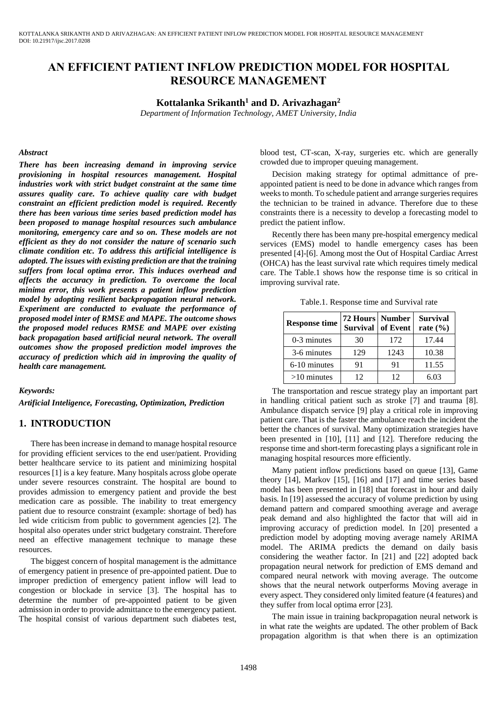# **AN EFFICIENT PATIENT INFLOW PREDICTION MODEL FOR HOSPITAL RESOURCE MANAGEMENT**

## **Kottalanka Srikanth<sup>1</sup> and D. Arivazhagan<sup>2</sup>**

*Department of Information Technology, AMET University, India*

#### *Abstract*

*There has been increasing demand in improving service provisioning in hospital resources management. Hospital industries work with strict budget constraint at the same time assures quality care. To achieve quality care with budget constraint an efficient prediction model is required. Recently there has been various time series based prediction model has been proposed to manage hospital resources such ambulance monitoring, emergency care and so on. These models are not efficient as they do not consider the nature of scenario such climate condition etc. To address this artificial intelligence is adopted. The issues with existing prediction are that the training suffers from local optima error. This induces overhead and affects the accuracy in prediction. To overcome the local minima error, this work presents a patient inflow prediction model by adopting resilient backpropagation neural network. Experiment are conducted to evaluate the performance of proposed model inter of RMSE and MAPE. The outcome shows the proposed model reduces RMSE and MAPE over existing back propagation based artificial neural network. The overall outcomes show the proposed prediction model improves the accuracy of prediction which aid in improving the quality of health care management.*

#### *Keywords:*

*Artificial Inteligence, Forecasting, Optimization, Prediction*

## **1. INTRODUCTION**

There has been increase in demand to manage hospital resource for providing efficient services to the end user/patient. Providing better healthcare service to its patient and minimizing hospital resources [1] is a key feature. Many hospitals across globe operate under severe resources constraint. The hospital are bound to provides admission to emergency patient and provide the best medication care as possible. The inability to treat emergency patient due to resource constraint (example: shortage of bed) has led wide criticism from public to government agencies [2]. The hospital also operates under strict budgetary constraint. Therefore need an effective management technique to manage these resources.

The biggest concern of hospital management is the admittance of emergency patient in presence of pre-appointed patient. Due to improper prediction of emergency patient inflow will lead to congestion or blockade in service [3]. The hospital has to determine the number of pre-appointed patient to be given admission in order to provide admittance to the emergency patient. The hospital consist of various department such diabetes test,

blood test, CT-scan, X-ray, surgeries etc. which are generally crowded due to improper queuing management.

Decision making strategy for optimal admittance of preappointed patient is need to be done in advance which ranges from weeks to month. To schedule patient and arrange surgeries requires the technician to be trained in advance. Therefore due to these constraints there is a necessity to develop a forecasting model to predict the patient inflow.

Recently there has been many pre-hospital emergency medical services (EMS) model to handle emergency cases has been presented [4]-[6]. Among most the Out of Hospital Cardiac Arrest (OHCA) has the least survival rate which requires timely medical care. The Table.1 shows how the response time is so critical in improving survival rate.

Table.1. Response time and Survival rate

| <b>Response time</b> | 72 Hours Number<br>Survival of Event |      | <b>Survival</b><br>rate $(\% )$ |
|----------------------|--------------------------------------|------|---------------------------------|
| $0-3$ minutes        | 30                                   | 172  | 17.44                           |
| 3-6 minutes          | 129                                  | 1243 | 10.38                           |
| 6-10 minutes         | 91                                   | 91   | 11.55                           |
| $>10$ minutes        | 12                                   | 12   | 6.03                            |

The transportation and rescue strategy play an important part in handling critical patient such as stroke [7] and trauma [8]. Ambulance dispatch service [9] play a critical role in improving patient care. That is the faster the ambulance reach the incident the better the chances of survival. Many optimization strategies have been presented in [10], [11] and [12]. Therefore reducing the response time and short-term forecasting plays a significant role in managing hospital resources more efficiently.

Many patient inflow predictions based on queue [13], Game theory [14], Markov [15], [16] and [17] and time series based model has been presented in [18] that forecast in hour and daily basis. In [19] assessed the accuracy of volume prediction by using demand pattern and compared smoothing average and average peak demand and also highlighted the factor that will aid in improving accuracy of prediction model. In [20] presented a prediction model by adopting moving average namely ARIMA model. The ARIMA predicts the demand on daily basis considering the weather factor. In [21] and [22] adopted back propagation neural network for prediction of EMS demand and compared neural network with moving average. The outcome shows that the neural network outperforms Moving average in every aspect. They considered only limited feature (4 features) and they suffer from local optima error [23].

The main issue in training backpropagation neural network is in what rate the weights are updated. The other problem of Back propagation algorithm is that when there is an optimization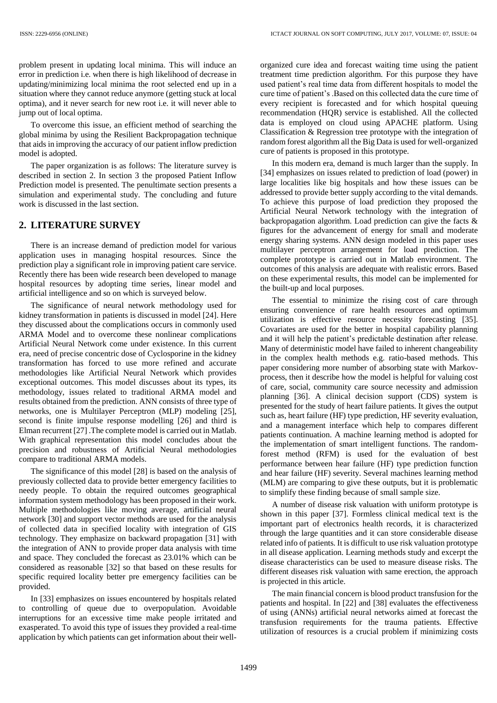problem present in updating local minima. This will induce an error in prediction i.e. when there is high likelihood of decrease in updating/minimizing local minima the root selected end up in a situation where they cannot reduce anymore (getting stuck at local optima), and it never search for new root i.e. it will never able to jump out of local optima.

To overcome this issue, an efficient method of searching the global minima by using the Resilient Backpropagation technique that aids in improving the accuracy of our patient inflow prediction model is adopted.

The paper organization is as follows: The literature survey is described in section 2. In section 3 the proposed Patient Inflow Prediction model is presented. The penultimate section presents a simulation and experimental study. The concluding and future work is discussed in the last section.

## **2. LITERATURE SURVEY**

There is an increase demand of prediction model for various application uses in managing hospital resources. Since the prediction play a significant role in improving patient care service. Recently there has been wide research been developed to manage hospital resources by adopting time series, linear model and artificial intelligence and so on which is surveyed below.

The significance of neural network methodology used for kidney transformation in patients is discussed in model [24]. Here they discussed about the complications occurs in commonly used ARMA Model and to overcome these nonlinear complications Artificial Neural Network come under existence. In this current era, need of precise concentric dose of Cyclosporine in the kidney transformation has forced to use more refined and accurate methodologies like Artificial Neural Network which provides exceptional outcomes. This model discusses about its types, its methodology, issues related to traditional ARMA model and results obtained from the prediction. ANN consists of three type of networks, one is Multilayer Perceptron (MLP) modeling [25], second is finite impulse response modelling [26] and third is Elman recurrent [27] .The complete model is carried out in Matlab. With graphical representation this model concludes about the precision and robustness of Artificial Neural methodologies compare to traditional ARMA models.

The significance of this model [28] is based on the analysis of previously collected data to provide better emergency facilities to needy people. To obtain the required outcomes geographical information system methodology has been proposed in their work. Multiple methodologies like moving average, artificial neural network [30] and support vector methods are used for the analysis of collected data in specified locality with integration of GIS technology. They emphasize on backward propagation [31] with the integration of ANN to provide proper data analysis with time and space. They concluded the forecast as 23.01% which can be considered as reasonable [32] so that based on these results for specific required locality better pre emergency facilities can be provided.

In [33] emphasizes on issues encountered by hospitals related to controlling of queue due to overpopulation. Avoidable interruptions for an excessive time make people irritated and exasperated. To avoid this type of issues they provided a real-time application by which patients can get information about their wellorganized cure idea and forecast waiting time using the patient treatment time prediction algorithm. For this purpose they have used patient's real time data from different hospitals to model the cure time of patient's .Based on this collected data the cure time of every recipient is forecasted and for which hospital queuing recommendation (HQR) service is established. All the collected data is employed on cloud using APACHE platform. Using Classification & Regression tree prototype with the integration of random forest algorithm all the Big Data is used for well-organized cure of patients is proposed in this prototype.

In this modern era, demand is much larger than the supply. In [34] emphasizes on issues related to prediction of load (power) in large localities like big hospitals and how these issues can be addressed to provide better supply according to the vital demands. To achieve this purpose of load prediction they proposed the Artificial Neural Network technology with the integration of backpropagation algorithm. Load prediction can give the facts & figures for the advancement of energy for small and moderate energy sharing systems. ANN design modeled in this paper uses multilayer perceptron arrangement for load prediction. The complete prototype is carried out in Matlab environment. The outcomes of this analysis are adequate with realistic errors. Based on these experimental results, this model can be implemented for the built-up and local purposes.

The essential to minimize the rising cost of care through ensuring convenience of rare health resources and optimum utilization is effective resource necessity forecasting [35]. Covariates are used for the better in hospital capability planning and it will help the patient's predictable destination after release. Many of deterministic model have failed to inherent changeability in the complex health methods e.g. ratio-based methods. This paper considering more number of absorbing state with Markovprocess, then it describe how the model is helpful for valuing cost of care, social, community care source necessity and admission planning [36]. A clinical decision support (CDS) system is presented for the study of heart failure patients. It gives the output such as, heart failure (HF) type prediction, HF severity evaluation, and a management interface which help to compares different patients continuation. A machine learning method is adopted for the implementation of smart intelligent functions. The randomforest method (RFM) is used for the evaluation of best performance between hear failure (HF) type prediction function and hear failure (HF) severity. Several machines learning method (MLM) are comparing to give these outputs, but it is problematic to simplify these finding because of small sample size.

A number of disease risk valuation with uniform prototype is shown in this paper [37]. Formless clinical medical text is the important part of electronics health records, it is characterized through the large quantities and it can store considerable disease related info of patients. It is difficult to use risk valuation prototype in all disease application. Learning methods study and excerpt the disease characteristics can be used to measure disease risks. The different diseases risk valuation with same erection, the approach is projected in this article.

The main financial concern is blood product transfusion for the patients and hospital. In [22] and [38] evaluates the effectiveness of using (ANNs) artificial neural networks aimed at forecast the transfusion requirements for the trauma patients. Effective utilization of resources is a crucial problem if minimizing costs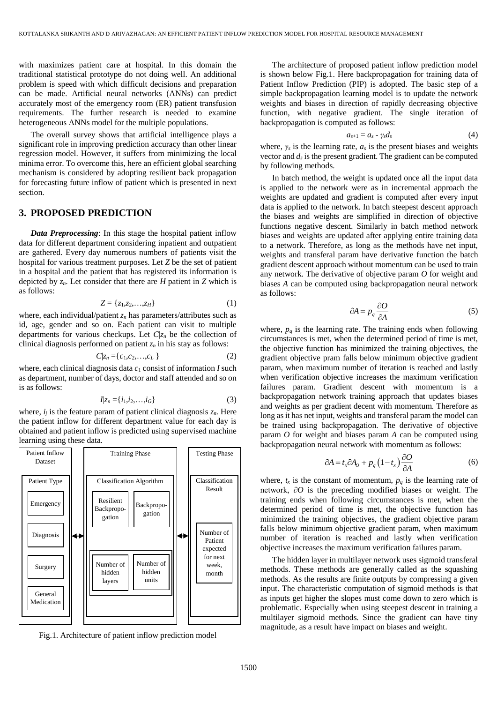with maximizes patient care at hospital. In this domain the traditional statistical prototype do not doing well. An additional problem is speed with which difficult decisions and preparation can be made. Artificial neural networks (ANNs) can predict accurately most of the emergency room (ER) patient transfusion requirements. The further research is needed to examine heterogeneous ANNs model for the multiple populations.

The overall survey shows that artificial intelligence plays a significant role in improving prediction accuracy than other linear regression model. However, it suffers from minimizing the local minima error. To overcome this, here an efficient global searching mechanism is considered by adopting resilient back propagation for forecasting future inflow of patient which is presented in next section.

#### **3. PROPOSED PREDICTION**

*Data Preprocessing*: In this stage the hospital patient inflow data for different department considering inpatient and outpatient are gathered. Every day numerous numbers of patients visit the hospital for various treatment purposes. Let *Z* be the set of patient in a hospital and the patient that has registered its information is depicted by  $z_n$ . Let consider that there are *H* patient in *Z* which is as follows:

$$
Z = \{z_1, z_2, \dots, z_H\} \tag{1}
$$

where, each individual/patient *z<sup>n</sup>* has parameters/attributes such as id, age, gender and so on. Each patient can visit to multiple departments for various checkups. Let  $C|z_n$  be the collection of clinical diagnosis performed on patient  $z<sub>n</sub>$  in his stay as follows:

$$
C|z_n = \{c_1, c_2, \dots, c_L\}
$$
 (2)

where, each clinical diagnosis data  $c_1$  consist of information *I* such as department, number of days, doctor and staff attended and so on is as follows:

$$
I|z_n = \{i_1, i_2, \dots, i_G\}
$$
 (3)

where,  $i_j$  is the feature param of patient clinical diagnosis  $z_n$ . Here the patient inflow for different department value for each day is obtained and patient inflow is predicted using supervised machine learning using these data.



Fig.1. Architecture of patient inflow prediction model

The architecture of proposed patient inflow prediction model is shown below Fig.1. Here backpropagation for training data of Patient Inflow Prediction (PIP) is adopted. The basic step of a simple backpropagation learning model is to update the network weights and biases in direction of rapidly decreasing objective function, with negative gradient. The single iteration of backpropagation is computed as follows:

$$
a_{s+1} = a_s - \gamma_s d_s \tag{4}
$$

where,  $\gamma_s$  is the learning rate,  $a_s$  is the present biases and weights vector and  $d_s$  is the present gradient. The gradient can be computed by following methods.

In batch method, the weight is updated once all the input data is applied to the network were as in incremental approach the weights are updated and gradient is computed after every input data is applied to the network. In batch steepest descent approach the biases and weights are simplified in direction of objective functions negative descent. Similarly in batch method network biases and weights are updated after applying entire training data to a network. Therefore, as long as the methods have net input, weights and transferal param have derivative function the batch gradient descent approach without momentum can be used to train any network. The derivative of objective param *O* for weight and biases *A* can be computed using backpropagation neural network as follows:

$$
\partial A = p_q \frac{\partial O}{\partial A} \tag{5}
$$

where,  $p_q$  is the learning rate. The training ends when following circumstances is met, when the determined period of time is met, the objective function has minimized the training objectives, the gradient objective pram falls below minimum objective gradient param, when maximum number of iteration is reached and lastly when verification objective increases the maximum verification failures param. Gradient descent with momentum is a backpropagation network training approach that updates biases and weights as per gradient decent with momentum. Therefore as long as it has net input, weights and transferal param the model can be trained using backpropagation. The derivative of objective param *O* for weight and biases param *A* can be computed using backpropagation neural network with momentum as follows:

$$
\partial A = t_x \partial A_0 + p_q \left( 1 - t_x \right) \frac{\partial O}{\partial A} \tag{6}
$$

where,  $t_x$  is the constant of momentum,  $p_q$  is the learning rate of network, ∂*O* is the preceding modified biases or weight. The training ends when following circumstances is met, when the determined period of time is met, the objective function has minimized the training objectives, the gradient objective param falls below minimum objective gradient param, when maximum number of iteration is reached and lastly when verification objective increases the maximum verification failures param.

The hidden layer in multilayer network uses sigmoid transferal methods. These methods are generally called as the squashing methods. As the results are finite outputs by compressing a given input. The characteristic computation of sigmoid methods is that as inputs get higher the slopes must come down to zero which is problematic. Especially when using steepest descent in training a multilayer sigmoid methods. Since the gradient can have tiny magnitude, as a result have impact on biases and weight.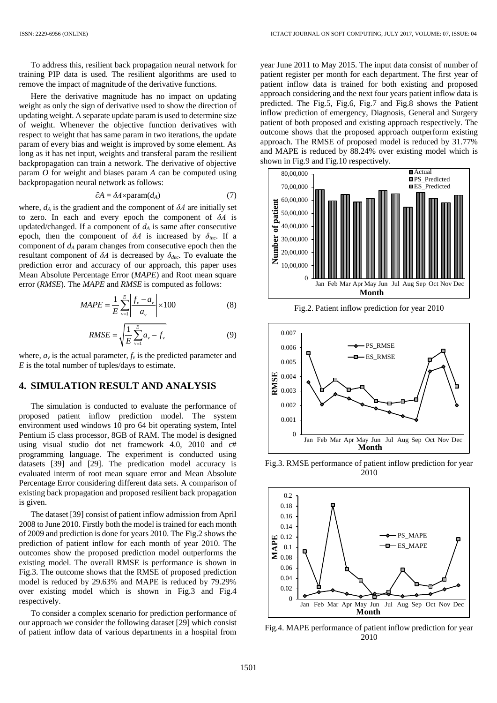To address this, resilient back propagation neural network for training PIP data is used. The resilient algorithms are used to remove the impact of magnitude of the derivative functions.

Here the derivative magnitude has no impact on updating weight as only the sign of derivative used to show the direction of updating weight. A separate update param is used to determine size of weight. Whenever the objective function derivatives with respect to weight that has same param in two iterations, the update param of every bias and weight is improved by some element. As long as it has net input, weights and transferal param the resilient backpropagation can train a network. The derivative of objective param *O* for weight and biases param *A* can be computed using backpropagation neural network as follows:

$$
\partial A = \delta A \times \text{param}(d_A) \tag{7}
$$

where,  $d_A$  is the gradient and the component of  $\delta A$  are initially set to zero. In each and every epoch the component of *δA* is updated/changed. If a component of  $d_A$  is same after consecutive epoch, then the component of  $\delta A$  is increased by  $\delta_{inc}$ . If a component of *d<sup>A</sup>* param changes from consecutive epoch then the resultant component of *δA* is decreased by *δdec*. To evaluate the prediction error and accuracy of our approach, this paper uses Mean Absolute Percentage Error (*MAPE*) and Root mean square error (*RMSE*). The *MAPE* and *RMSE* is computed as follows:

$$
MAPE = \frac{1}{E} \sum_{v=1}^{E} \left| \frac{f_v - a_v}{a_v} \right| \times 100
$$
 (8)

$$
RMSE = \sqrt{\frac{1}{E} \sum_{\nu=1}^{E} a_{\nu} - f_{\nu}}
$$
 (9)

where,  $a<sub>v</sub>$  is the actual parameter,  $f<sub>v</sub>$  is the predicted parameter and *E* is the total number of tuples/days to estimate.

#### **4. SIMULATION RESULT AND ANALYSIS**

The simulation is conducted to evaluate the performance of proposed patient inflow prediction model. The system environment used windows 10 pro 64 bit operating system, Intel Pentium i5 class processor, 8GB of RAM. The model is designed using visual studio dot net framework 4.0, 2010 and c# programming language. The experiment is conducted using datasets [39] and [29]. The predication model accuracy is evaluated interm of root mean square error and Mean Absolute Percentage Error considering different data sets. A comparison of existing back propagation and proposed resilient back propagation is given.

The dataset [39] consist of patient inflow admission from April 2008 to June 2010. Firstly both the model is trained for each month of 2009 and prediction is done for years 2010. The Fig.2 shows the prediction of patient inflow for each month of year 2010. The outcomes show the proposed prediction model outperforms the existing model. The overall RMSE is performance is shown in Fig.3. The outcome shows that the RMSE of proposed prediction model is reduced by 29.63% and MAPE is reduced by 79.29% over existing model which is shown in Fig.3 and Fig.4 respectively.

To consider a complex scenario for prediction performance of our approach we consider the following dataset [29] which consist of patient inflow data of various departments in a hospital from

year June 2011 to May 2015. The input data consist of number of patient register per month for each department. The first year of patient inflow data is trained for both existing and proposed approach considering and the next four years patient inflow data is predicted. The Fig.5, Fig.6, Fig.7 and Fig.8 shows the Patient inflow prediction of emergency, Diagnosis, General and Surgery patient of both proposed and existing approach respectively. The outcome shows that the proposed approach outperform existing approach. The RMSE of proposed model is reduced by 31.77% and MAPE is reduced by 88.24% over existing model which is shown in Fig.9 and Fig.10 respectively.



Fig.2. Patient inflow prediction for year 2010



Fig.3. RMSE performance of patient inflow prediction for year 2010



Fig.4. MAPE performance of patient inflow prediction for year 2010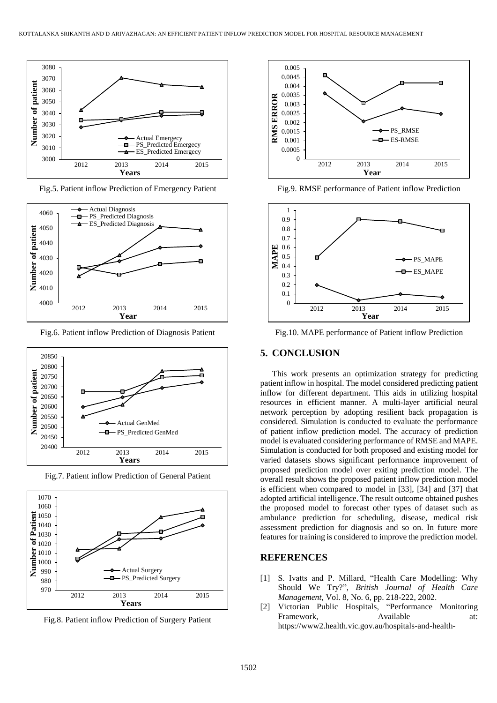

Fig.5. Patient inflow Prediction of Emergency Patient



Fig.6. Patient inflow Prediction of Diagnosis Patient



Fig.7. Patient inflow Prediction of General Patient



Fig.8. Patient inflow Prediction of Surgery Patient



Fig.9. RMSE performance of Patient inflow Prediction



Fig.10. MAPE performance of Patient inflow Prediction

## **5. CONCLUSION**

This work presents an optimization strategy for predicting patient inflow in hospital. The model considered predicting patient inflow for different department. This aids in utilizing hospital resources in efficient manner. A multi-layer artificial neural network perception by adopting resilient back propagation is considered. Simulation is conducted to evaluate the performance of patient inflow prediction model. The accuracy of prediction model is evaluated considering performance of RMSE and MAPE. Simulation is conducted for both proposed and existing model for varied datasets shows significant performance improvement of proposed prediction model over exiting prediction model. The overall result shows the proposed patient inflow prediction model is efficient when compared to model in [33], [34] and [37] that adopted artificial intelligence. The result outcome obtained pushes the proposed model to forecast other types of dataset such as ambulance prediction for scheduling, disease, medical risk assessment prediction for diagnosis and so on. In future more features for training is considered to improve the prediction model.

### **REFERENCES**

- [1] S. Ivatts and P. Millard, "Health Care Modelling: Why Should We Try?", *British Journal of Health Care Management*, Vol. 8, No. 6, pp. 218-222, 2002.
- [2] Victorian Public Hospitals, "Performance Monitoring Framework, Available at: https://www2.health.vic.gov.au/hospitals-and-health-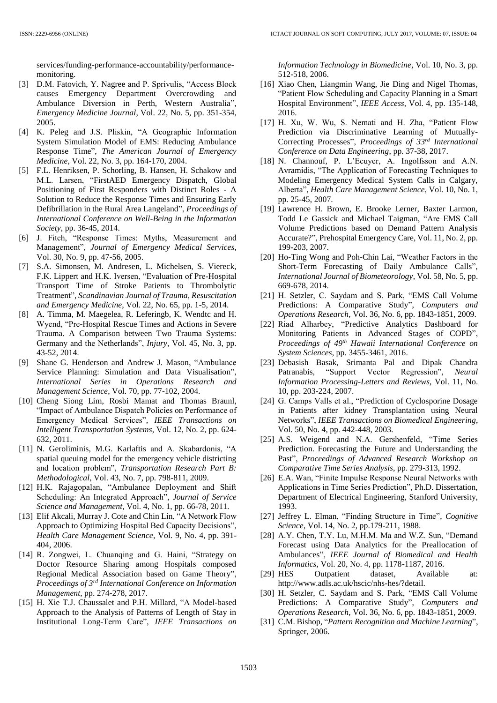services/funding-performance-accountability/performancemonitoring.

- [3] D.M. Fatovich, Y. Nagree and P. Sprivulis, "Access Block causes Emergency Department Overcrowding and Ambulance Diversion in Perth, Western Australia", *Emergency Medicine Journal*, Vol. 22, No. 5, pp. 351-354, 2005.
- [4] K. Peleg and J.S. Pliskin, "A Geographic Information System Simulation Model of EMS: Reducing Ambulance Response Time", *The American Journal of Emergency Medicine*, Vol. 22, No. 3, pp. 164-170, 2004.
- [5] F.L. Henriksen, P. Schorling, B. Hansen, H. Schakow and M.L. Larsen, "FirstAED Emergency Dispatch, Global Positioning of First Responders with Distinct Roles - A Solution to Reduce the Response Times and Ensuring Early Defibrillation in the Rural Area Langeland", *Proceedings of International Conference on Well-Being in the Information Society*, pp. 36-45, 2014.
- [6] J. Fitch, "Response Times: Myths, Measurement and Management", *Journal of Emergency Medical Services*, Vol. 30, No. 9, pp. 47-56, 2005.
- [7] S.A. Simonsen, M. Andresen, L. Michelsen, S. Viereck, F.K. Lippert and H.K. Iversen, "Evaluation of Pre-Hospital Transport Time of Stroke Patients to Thrombolytic Treatment", *Scandinavian Journal of Trauma, Resuscitation and Emergency Medicine*, Vol. 22, No. 65, pp. 1-5, 2014.
- [8] A. Timma, M. Maegelea, R. Leferingb, K. Wendtc and H. Wyend, "Pre-Hospital Rescue Times and Actions in Severe Trauma. A Comparison between Two Trauma Systems: Germany and the Netherlands", *Injury*, Vol. 45, No. 3, pp. 43-52, 2014.
- [9] Shane G. Henderson and Andrew J. Mason, "Ambulance Service Planning: Simulation and Data Visualisation", *International Series in Operations Research and Management Science*, Vol. 70, pp. 77-102, 2004.
- [10] Cheng Siong Lim, Rosbi Mamat and Thomas Braunl, "Impact of Ambulance Dispatch Policies on Performance of Emergency Medical Services", *IEEE Transactions on Intelligent Transportation Systems*, Vol. 12, No. 2, pp. 624- 632, 2011.
- [11] N. Geroliminis, M.G. Karlaftis and A. Skabardonis, "A spatial queuing model for the emergency vehicle districting and location problem", *Transportation Research Part B: Methodological*, Vol. 43, No. 7, pp. 798-811, 2009.
- [12] H.K. Rajagopalan, "Ambulance Deployment and Shift Scheduling: An Integrated Approach", *Journal of Service Science and Management*, Vol. 4, No. 1, pp. 66-78, 2011.
- [13] Elif Akcali, Murray J. Cote and Chin Lin, "A Network Flow Approach to Optimizing Hospital Bed Capacity Decisions", *Health Care Management Science*, Vol. 9, No. 4, pp. 391- 404, 2006.
- [14] R. Zongwei, L. Chuanqing and G. Haini, "Strategy on Doctor Resource Sharing among Hospitals composed Regional Medical Association based on Game Theory", *Proceedings of 3rd International Conference on Information Management*, pp. 274-278, 2017.
- [15] H. Xie T.J. Chaussalet and P.H. Millard, "A Model-based Approach to the Analysis of Patterns of Length of Stay in Institutional Long-Term Care", *IEEE Transactions on*

*Information Technology in Biomedicine*, Vol. 10, No. 3, pp. 512-518, 2006.

- [16] Xiao Chen, Liangmin Wang, Jie Ding and Nigel Thomas, "Patient Flow Scheduling and Capacity Planning in a Smart Hospital Environment", *IEEE Access*, Vol. 4, pp. 135-148, 2016.
- [17] H. Xu, W. Wu, S. Nemati and H. Zha, "Patient Flow Prediction via Discriminative Learning of Mutually-Correcting Processes", *Proceedings of 33rd International Conference on Data Engineering*, pp. 37-38, 2017.
- [18] N. Channouf, P. L'Ecuyer, A. Ingolfsson and A.N. Avramidis, "The Application of Forecasting Techniques to Modeling Emergency Medical System Calls in Calgary, Alberta", *Health Care Management Science*, Vol. 10, No. 1, pp. 25-45, 2007.
- [19] Lawrence H. Brown, E. Brooke Lerner, Baxter Larmon, Todd Le Gassick and Michael Taigman, "Are EMS Call Volume Predictions based on Demand Pattern Analysis Accurate?", Prehospital Emergency Care, Vol. 11, No. 2, pp. 199-203, 2007.
- [20] Ho-Ting Wong and Poh-Chin Lai, "Weather Factors in the Short-Term Forecasting of Daily Ambulance Calls", *International Journal of Biometeorology*, Vol. 58, No. 5, pp. 669-678, 2014.
- [21] H. Setzler, C. Saydam and S. Park, "EMS Call Volume Predictions: A Comparative Study", *Computers and Operations Research*, Vol. 36, No. 6, pp. 1843-1851, 2009.
- [22] Riad Alharbey, "Predictive Analytics Dashboard for Monitoring Patients in Advanced Stages of COPD", *Proceedings of 49th Hawaii International Conference on System Sciences*, pp. 3455-3461, 2016.
- [23] Debasish Basak, Srimanta Pal and Dipak Chandra Patranabis, "Support Vector Regression", *Neural Information Processing-Letters and Reviews*, Vol. 11, No. 10, pp. 203-224, 2007.
- [24] G. Camps Valls et al., "Prediction of Cyclosporine Dosage in Patients after kidney Transplantation using Neural Networks", *IEEE Transactions on Biomedical Engineering*, Vol. 50, No. 4, pp. 442-448, 2003.
- [25] A.S. Weigend and N.A. Gershenfeld, "Time Series Prediction. Forecasting the Future and Understanding the Past", *Proceedings of Advanced Research Workshop on Comparative Time Series Analysis*, pp. 279-313, 1992.
- [26] E.A. Wan, "Finite Impulse Response Neural Networks with Applications in Time Series Prediction", Ph.D. Dissertation, Department of Electrical Engineering, Stanford University, 1993.
- [27] Jeffrey L. Elman, "Finding Structure in Time", *Cognitive Science*, Vol. 14, No. 2, pp.179-211, 1988.
- [28] A.Y. Chen, T.Y. Lu, M.H.M. Ma and W.Z. Sun, "Demand Forecast using Data Analytics for the Preallocation of Ambulances", *IEEE Journal of Biomedical and Health Informatics*, Vol. 20, No. 4, pp. 1178-1187, 2016.
- [29] HES Outpatient dataset, Available at: http://www.adls.ac.uk/hscic/nhs-hes/?detail.
- [30] H. Setzler, C. Saydam and S. Park, "EMS Call Volume Predictions: A Comparative Study", *Computers and Operations Research*, Vol. 36, No. 6, pp. 1843-1851, 2009.
- [31] C.M. Bishop, "*Pattern Recognition and Machine Learning*", Springer, 2006.